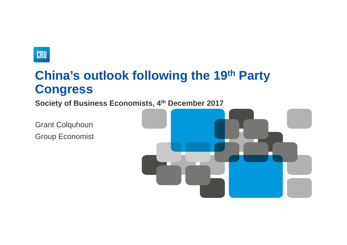

# **China's outlook following the 19th Party Congress**

**Society of Business Economists, 4th December 2017**

Grant Colquhoun Group Economist

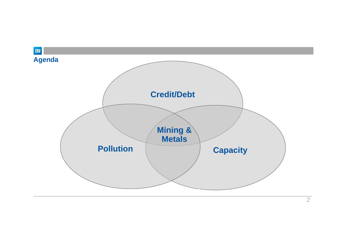

2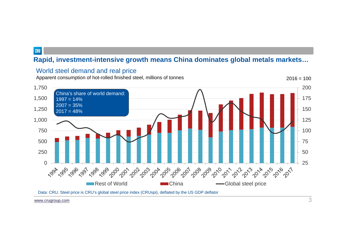## **Rapid, investment-intensive growth means China dominates global metals markets…**

#### World steel demand and real price

Apparent consumption of hot-rolled finished steel, millions of tonnes  $2016 = 100$ 



Data: CRU. Steel price is CRU's global steel price index (CRUspi), deflated by the US GDP deflator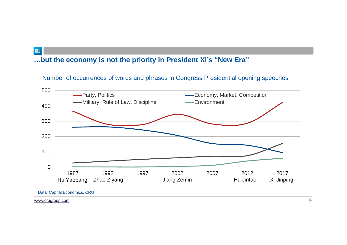## **…but the economy is not the priority in President Xi's "New Era"**

Number of occurrences of words and phrases in Congress Presidential opening speeches



www.crugroup.com

CRU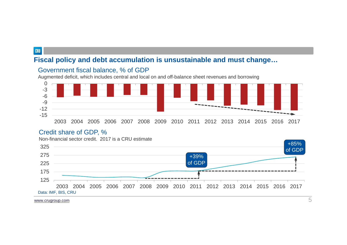## **Fiscal policy and debt accumulation is unsustainable and must change…**





#### Credit share of GDP, %

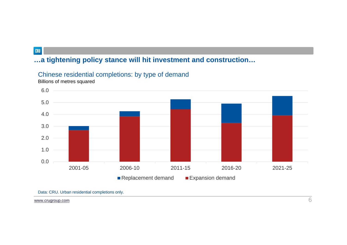# **…a tightening policy stance will hit investment and construction…**

## Chinese residential completions: by type of demand

Billions of metres squared



Data: CRU. Urban residential completions only.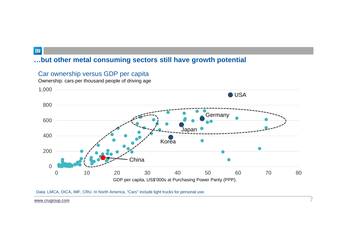## **…but other metal consuming sectors still have growth potential**



7

Car ownership versus GDP per capita

Ownership: cars per thousand people of driving age

Data: LMCA, OICA, IMF, CRU. In North America, "Cars" include light trucks for personal use.

www.crugroup.com

CRU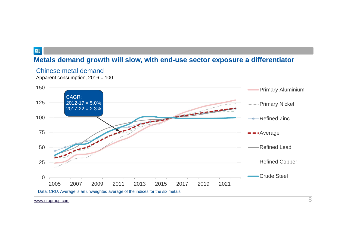## **Metals demand growth will slow, with end-use sector exposure a differentiator**



Chinese metal demand

Apparent consumption, 2016 = 100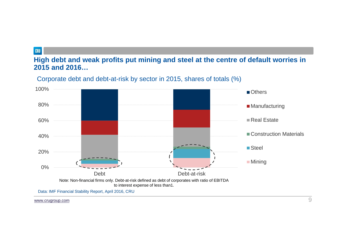### **High debt and weak profits put mining and steel at the centre of default worries in 2015 and 2016…**



Corporate debt and debt-at-risk by sector in 2015, shares of totals (%)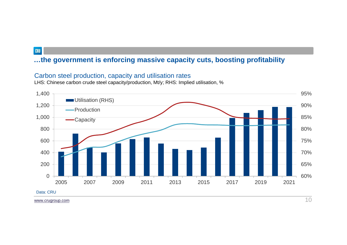## **…the government is enforcing massive capacity cuts, boosting profitability**

#### Carbon steel production, capacity and utilisation rates

LHS: Chinese carbon crude steel capacity/production, Mt/y; RHS: Implied utilisation, %

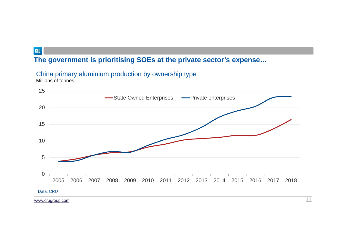## **The government is prioritising SOEs at the private sector's expense…**

## China primary aluminium production by ownership type

Millions of tonnes

CRU

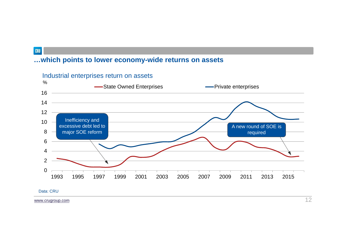## **…which points to lower economy-wide returns on assets**





CRU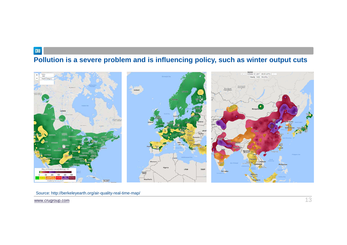# **Pollution is a severe problem and is influencing policy, such as winter output cuts**



Source: http://berkeleyearth.org/air-quality-real-time-map/

www.crugroup.com

CRU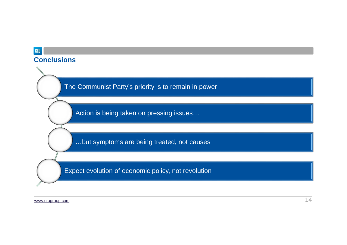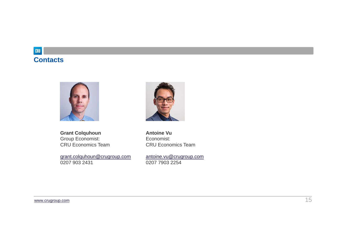## CRU **Contacts**





**Antoine Vu** Economist:

**Grant Colquhoun** Group Economist: CRU Economics Team

grant.colquhoun@crugroup.com 0207 903 2431

antoine.vu@crugroup.com 0207 7903 2254

CRU Economics Team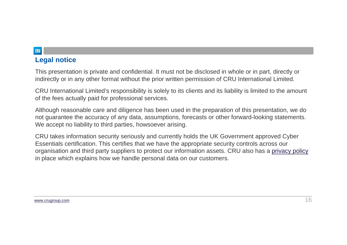## **Legal notice**

This presentation is private and confidential. It must not be disclosed in whole or in part, directly or indirectly or in any other format without the prior written permission of CRU International Limited.

CRU International Limited's responsibility is solely to its clients and its liability is limited to the amount of the fees actually paid for professional services.

Although reasonable care and diligence has been used in the preparation of this presentation, we do not guarantee the accuracy of any data, assumptions, forecasts or other forward-looking statements. We accept no liability to third parties, howsoever arising.

CRU takes information security seriously and currently holds the UK Government approved Cyber Essentials certification. This certifies that we have the appropriate security controls across our organisation and third party suppliers to protect our information assets. CRU also has a privacy policy in place which explains how we handle personal data on our customers.